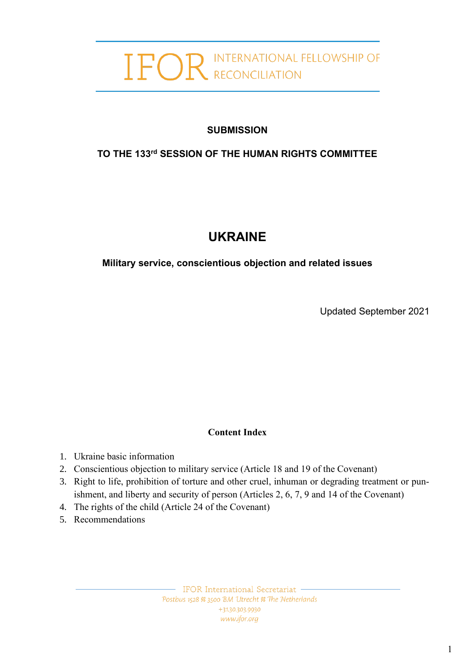# **OR** INTERNATIONAL FELLOWSHIP OF

# **SUBMISSION**

# **TO THE 133 rd SESSION OF THE HUMAN RIGHTS COMMITTEE**

# **UKRAINE**

**Military service, conscientious objection and related issues**

Updated September 2021

# **Content Index**

- 1. Ukraine basic information
- 2. Conscientious objection to military service (Article 18 and 19 of the Covenant)
- 3. Right to life, prohibition of torture and other cruel, inhuman or degrading treatment or punishment, and liberty and security of person (Articles 2, 6, 7, 9 and 14 of the Covenant)
- 4. The rights of the child (Article 24 of the Covenant)
- 5. Recommendations

- IFOR International Secretariat . Postbus 1528 % 3500 BM Utrecht % The Netherlands +31.30.303.9930 www.ifor.org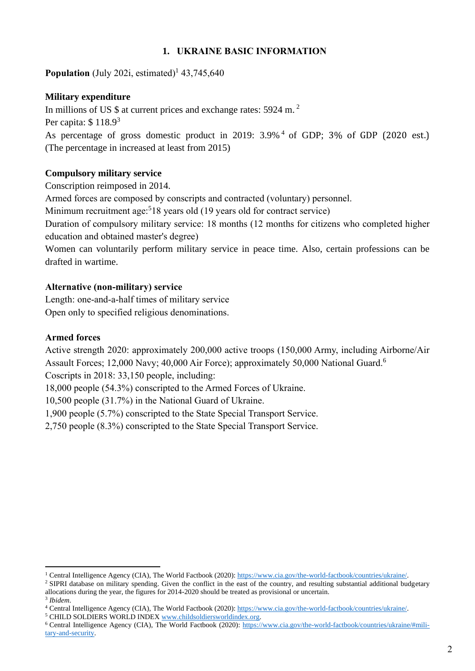#### **1. UKRAINE BASIC INFORMATION**

**Population** (July 202i, estimated)<sup>1</sup> 43,745,640

#### **Military expenditure**

In millions of US \$ at current prices and exchange rates: 5924 m.<sup>2</sup>

Per capita: \$ 118.9<sup>3</sup>

As percentage of gross domestic product in 2019: 3.9%<sup>4</sup> of GDP; 3% of GDP (2020 est.) (The percentage in increased at least from 2015)

#### **Compulsory military service**

Conscription reimposed in 2014.

Armed forces are composed by conscripts and contracted (voluntary) personnel.

Minimum recruitment age:<sup>5</sup>18 years old (19 years old for contract service)

Duration of compulsory military service: 18 months (12 months for citizens who completed higher education and obtained master's degree)

Women can voluntarily perform military service in peace time. Also, certain professions can be drafted in wartime.

#### **Alternative (non-military) service**

Length: one-and-a-half times of military service Open only to specified religious denominations.

#### **Armed forces**

Active strength 2020: approximately 200,000 active troops (150,000 Army, including Airborne/Air Assault Forces; 12,000 Navy; 40,000 Air Force); approximately 50,000 National Guard.<sup>6</sup>

Coscripts in 2018: 33,150 people, including:

18,000 people (54.3%) conscripted to the Armed Forces of Ukraine.

10,500 people (31.7%) in the National Guard of Ukraine.

1,900 people (5.7%) conscripted to the State Special Transport Service.

2,750 people (8.3%) conscripted to the State Special Transport Service.

<sup>1</sup> Central Intelligence Agency (CIA), The World Factbook (2020)[: https://www.cia.gov/the-world-factbook/countries/ukraine/.](https://www.cia.gov/the-world-factbook/countries/ukraine/)

<sup>&</sup>lt;sup>2</sup> SIPRI database on military spending. Given the conflict in the east of the country, and resulting substantial additional budgetary allocations during the year, the figures for 2014-2020 should be treated as provisional or uncertain. 3 *Ibidem*.

<sup>4</sup> Central Intelligence Agency (CIA), The World Factbook (2020)[: https://www.cia.gov/the-world-factbook/countries/ukraine/.](https://www.cia.gov/the-world-factbook/countries/ukraine/)

<sup>&</sup>lt;sup>5</sup> CHILD SOLDIERS WORLD INDE[X www.childsoldiersworldindex.org.](http://www.childsoldiersworldindex.org/)

<sup>&</sup>lt;sup>6</sup> Central Intelligence Agency (CIA), The World Factbook (2020): [https://www.cia.gov/the-world-factbook/countries/ukraine/#mili](https://www.cia.gov/the-world-factbook/countries/ukraine/#military-and-security)[tary-and-security.](https://www.cia.gov/the-world-factbook/countries/ukraine/#military-and-security)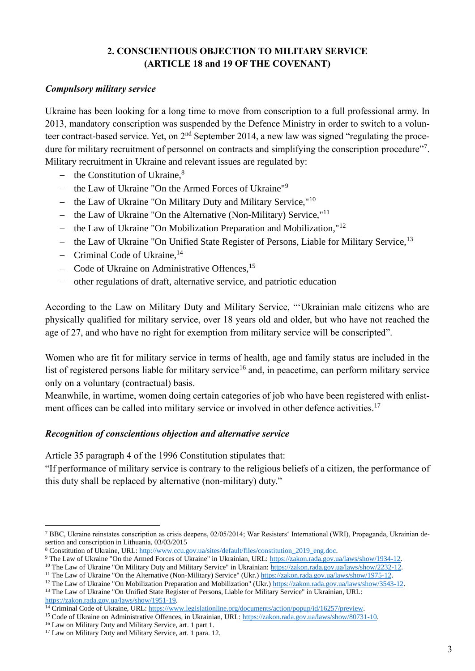# **2. CONSCIENTIOUS OBJECTION TO MILITARY SERVICE (ARTICLE 18 and 19 OF THE COVENANT)**

#### *Compulsory military service*

Ukraine has been looking for a long time to move from conscription to a full professional army. In 2013, mandatory conscription was suspended by the Defence Ministry in order to switch to a volunteer contract-based service. Yet, on  $2<sup>nd</sup>$  September 2014, a new law was signed "regulating the procedure for military recruitment of personnel on contracts and simplifying the conscription procedure"<sup>7</sup>. Military recruitment in Ukraine and relevant issues are regulated by:

- − the Constitution of Ukraine,<sup>8</sup>
- − the Law of Ukraine "On the Armed Forces of Ukraine"<sup>9</sup>
- − the Law of Ukraine "On Military Duty and Military Service,"<sup>10</sup>
- − the Law of Ukraine "On the Alternative (Non-Military) Service,"<sup>11</sup>
- − the Law of Ukraine "On Mobilization Preparation and Mobilization,"<sup>12</sup>
- − the Law of Ukraine "On Unified State Register of Persons, Liable for Military Service,<sup>13</sup>
- − Criminal Code of Ukraine,<sup>14</sup>
- − Code of Ukraine on Administrative Offences,<sup>15</sup>
- − other regulations of draft, alternative service, and patriotic education

According to the Law on Military Duty and Military Service, "'Ukrainian male citizens who are physically qualified for military service, over 18 years old and older, but who have not reached the age of 27, and who have no right for exemption from military service will be conscripted".

Women who are fit for military service in terms of health, age and family status are included in the list of registered persons liable for military service<sup>16</sup> and, in peacetime, can perform military service only on a voluntary (contractual) basis.

Meanwhile, in wartime, women doing certain categories of job who have been registered with enlistment offices can be called into military service or involved in other defence activities.<sup>17</sup>

#### *Recognition of conscientious objection and alternative service*

Article 35 paragraph 4 of the 1996 Constitution stipulates that:

"If performance of military service is contrary to the religious beliefs of a citizen, the performance of this duty shall be replaced by alternative (non-military) duty."

```
: https://www.legislationline.org/documents/action/popup/id/16257/preview.
```
<sup>7</sup> BBC, Ukraine reinstates conscription as crisis deepens, 02/05/2014; War Resisters' International (WRI), Propaganda, Ukrainian desertion and conscription in Lithuania, 03/03/2015

<sup>8</sup> Constitution of Ukraine, URL[: http://www.ccu.gov.ua/sites/default/files/constitution\\_2019\\_eng.doc.](http://www.ccu.gov.ua/sites/default/files/constitution_2019_eng.doc)

<sup>9</sup> The Law of Ukraine "On the Armed Forces of Ukraine" in Ukrainian, URL: [https://zakon.rada.gov.ua/laws/show/1934-12.](https://zakon.rada.gov.ua/laws/show/1934-12)

<sup>&</sup>lt;sup>10</sup> The Law of Ukraine "On Military Duty and Military Service" in Ukrainian: https://zakon.rada.gov.ua/laws/show/2232-12

<sup>&</sup>lt;sup>11</sup> The Law of Ukraine "On the Alternative (Non-Military) Service" (Ukr.) [https://zakon.rada.gov.ua/laws/show/1975-12.](https://zakon.rada.gov.ua/laws/show/1975-12) <sup>12</sup> The Law of Ukraine "On Mobilization Preparation and Mobilization" (Ukr.) [https://zakon.rada.gov.ua/laws/show/3543-12.](https://zakon.rada.gov.ua/laws/show/3543-12)

<sup>&</sup>lt;sup>13</sup> The Law of Ukraine "On Unified State Register of Persons, Liable for Military Service" in Ukrainian, URL: [https://zakon.rada.gov.ua/laws/show/1951-19.](https://zakon.rada.gov.ua/laws/show/1951-19)

<sup>15</sup> Code of Ukraine on Administrative Offences, in Ukrainian, URL: [https://zakon.rada.gov.ua/laws/show/80731-10.](https://zakon.rada.gov.ua/laws/show/80731-10)

<sup>16</sup> Law on Military Duty and Military Service, art. 1 part 1.

<sup>&</sup>lt;sup>17</sup> Law on Military Duty and Military Service, art. 1 para. 12.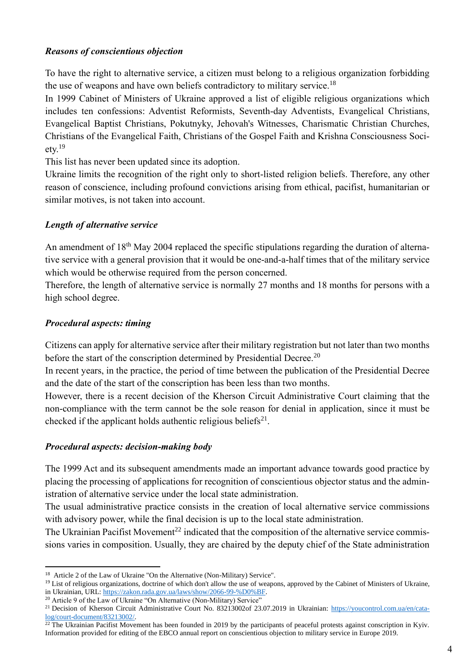#### *Reasons of conscientious objection*

To have the right to alternative service, a citizen must belong to a religious organization forbidding the use of weapons and have own beliefs contradictory to military service.<sup>18</sup>

In 1999 Cabinet of Ministers of Ukraine approved a list of eligible religious organizations which includes ten confessions: Adventist Reformists, Seventh-day Adventists, Evangelical Christians, Evangelical Baptist Christians, Pokutnyky, Jehovah's Witnesses, Charismatic Christian Churches, Christians of the Evangelical Faith, Christians of the Gospel Faith and Krishna Consciousness Society.<sup>19</sup>

This list has never been updated since its adoption.

Ukraine limits the recognition of the right only to short-listed religion beliefs. Therefore, any other reason of conscience, including profound convictions arising from ethical, pacifist, humanitarian or similar motives, is not taken into account.

#### *Length of alternative service*

An amendment of 18<sup>th</sup> May 2004 replaced the specific stipulations regarding the duration of alternative service with a general provision that it would be one-and-a-half times that of the military service which would be otherwise required from the person concerned.

Therefore, the length of alternative service is normally 27 months and 18 months for persons with a high school degree.

# *Procedural aspects: timing*

Citizens can apply for alternative service after their military registration but not later than two months before the start of the conscription determined by Presidential Decree.<sup>20</sup>

In recent years, in the practice, the period of time between the publication of the Presidential Decree and the date of the start of the conscription has been less than two months.

However, there is a recent decision of the Kherson Circuit Administrative Court claiming that the non-compliance with the term cannot be the sole reason for denial in application, since it must be checked if the applicant holds authentic religious beliefs $^{21}$ .

#### *Procedural aspects: decision-making body*

The 1999 Act and its subsequent amendments made an important advance towards good practice by placing the processing of applications for recognition of conscientious objector status and the administration of alternative service under the local state administration.

The usual administrative practice consists in the creation of local alternative service commissions with advisory power, while the final decision is up to the local state administration.

The Ukrainian Pacifist Movement<sup>22</sup> indicated that the composition of the alternative service commissions varies in composition. Usually, they are chaired by the deputy chief of the State administration

<sup>&</sup>lt;sup>18</sup> Article 2 of the Law of Ukraine "On the Alternative (Non-Military) Service".

 $19$  List of religious organizations, doctrine of which don't allow the use of weapons, approved by the Cabinet of Ministers of Ukraine, in Ukrainian, URL: [https://zakon.rada.gov.ua/laws/show/2066-99-%D0%BF.](https://zakon.rada.gov.ua/laws/show/2066-99-%D0%BF)

<sup>&</sup>lt;sup>20</sup> Article 9 of the Law of Ukraine "On Alternative (Non-Military) Service"

<sup>21</sup> Decision of Kherson Circuit Administrative Court No. 83213002of 23.07.2019 in Ukrainian: [https://youcontrol.com.ua/en/cata](https://youcontrol.com.ua/en/catalog/court-document/83213002/)[log/court-document/83213002/.](https://youcontrol.com.ua/en/catalog/court-document/83213002/)

 $22$  The Ukrainian Pacifist Movement has been founded in 2019 by the participants of peaceful protests against conscription in Kyiv. Information provided for editing of the EBCO annual report on conscientious objection to military service in Europe 2019.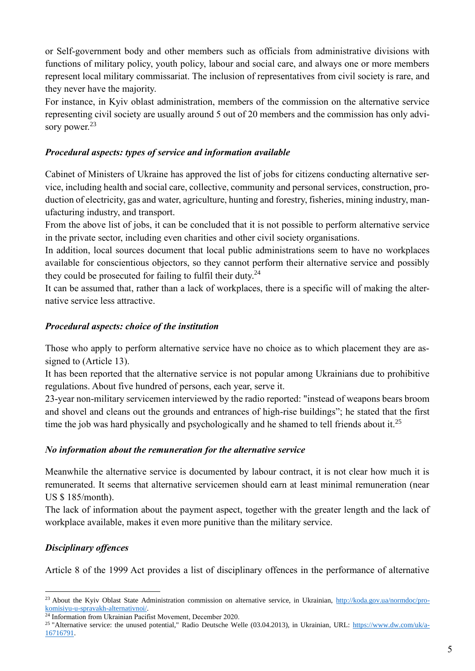or Self-government body and other members such as officials from administrative divisions with functions of military policy, youth policy, labour and social care, and always one or more members represent local military commissariat. The inclusion of representatives from civil society is rare, and they never have the majority.

For instance, in Kyiv oblast administration, members of the commission on the alternative service representing civil society are usually around 5 out of 20 members and the commission has only advisory power.<sup>23</sup>

# *Procedural aspects: types of service and information available*

Cabinet of Ministers of Ukraine has approved the list of jobs for citizens conducting alternative service, including health and social care, collective, community and personal services, construction, production of electricity, gas and water, agriculture, hunting and forestry, fisheries, mining industry, manufacturing industry, and transport.

From the above list of jobs, it can be concluded that it is not possible to perform alternative service in the private sector, including even charities and other civil society organisations.

In addition, local sources document that local public administrations seem to have no workplaces available for conscientious objectors, so they cannot perform their alternative service and possibly they could be prosecuted for failing to fulfil their duty.<sup>24</sup>

It can be assumed that, rather than a lack of workplaces, there is a specific will of making the alternative service less attractive.

# *Procedural aspects: choice of the institution*

Those who apply to perform alternative service have no choice as to which placement they are assigned to (Article 13).

It has been reported that the alternative service is not popular among Ukrainians due to prohibitive regulations. About five hundred of persons, each year, serve it.

23-year non-military servicemen interviewed by the radio reported: "instead of weapons bears broom and shovel and cleans out the grounds and entrances of high-rise buildings"; he stated that the first time the job was hard physically and psychologically and he shamed to tell friends about it.<sup>25</sup>

#### *No information about the remuneration for the alternative service*

Meanwhile the alternative service is documented by labour contract, it is not clear how much it is remunerated. It seems that alternative servicemen should earn at least minimal remuneration (near US \$ 185/month).

The lack of information about the payment aspect, together with the greater length and the lack of workplace available, makes it even more punitive than the military service.

# *Disciplinary offences*

Article 8 of the 1999 Act provides a list of disciplinary offences in the performance of alternative

<sup>&</sup>lt;sup>23</sup> About the Kyiv Oblast State Administration commission on alternative service, in Ukrainian, [http://koda.gov.ua/normdoc/pro](http://koda.gov.ua/normdoc/pro-komisiyu-u-spravakh-alternativnoi/)[komisiyu-u-spravakh-alternativnoi/.](http://koda.gov.ua/normdoc/pro-komisiyu-u-spravakh-alternativnoi/)

<sup>&</sup>lt;sup>24</sup> Information from Ukrainian Pacifist Movement, December 2020.

<sup>&</sup>lt;sup>25</sup> "Alternative service: the unused potential," Radio Deutsche Welle (03.04.2013), in Ukrainian, URL: [https://www.dw.com/uk/a-](https://www.dw.com/uk/a-16716791)[16716791.](https://www.dw.com/uk/a-16716791)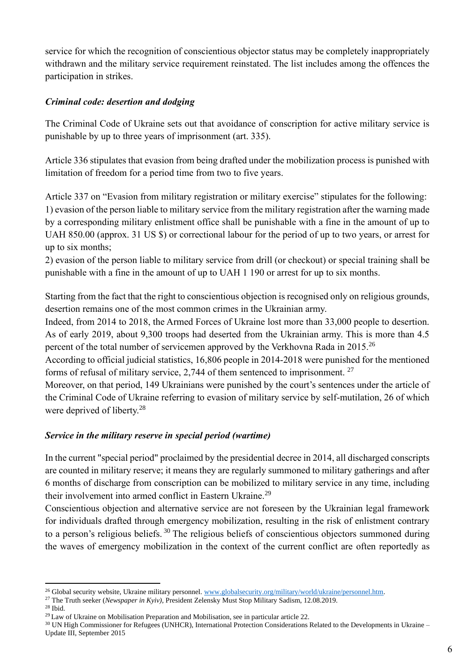service for which the recognition of conscientious objector status may be completely inappropriately withdrawn and the military service requirement reinstated. The list includes among the offences the participation in strikes.

# *Criminal code: desertion and dodging*

The Criminal Code of Ukraine sets out that avoidance of conscription for active military service is punishable by up to three years of imprisonment (art. 335).

Article 336 stipulates that evasion from being drafted under the mobilization process is punished with limitation of freedom for a period time from two to five years.

Article 337 on "Evasion from military registration or military exercise" stipulates for the following: 1) evasion of the person liable to military service from the military registration after the warning made by a corresponding military enlistment office shall be punishable with a fine in the amount of up to UAH 850.00 (approx. 31 US \$) or correctional labour for the period of up to two years, or arrest for up to six months;

2) evasion of the person liable to military service from drill (or checkout) or special training shall be punishable with a fine in the amount of up to UAH 1 190 or arrest for up to six months.

Starting from the fact that the right to conscientious objection is recognised only on religious grounds, desertion remains one of the most common crimes in the Ukrainian army.

Indeed, from 2014 to 2018, the Armed Forces of Ukraine lost more than 33,000 people to desertion. As of early 2019, about 9,300 troops had deserted from the Ukrainian army. This is more than 4.5 percent of the total number of servicemen approved by the Verkhovna Rada in 2015.<sup>26</sup>

According to official judicial statistics, 16,806 people in 2014-2018 were punished for the mentioned forms of refusal of military service, 2,744 of them sentenced to imprisonment.  $27$ 

Moreover, on that period, 149 Ukrainians were punished by the court's sentences under the article of the Criminal Code of Ukraine referring to evasion of military service by self-mutilation, 26 of which were deprived of liberty.<sup>28</sup>

# *Service in the military reserve in special period (wartime)*

In the current "special period" proclaimed by the presidential decree in 2014, all discharged conscripts are counted in military reserve; it means they are regularly summoned to military gatherings and after 6 months of discharge from conscription can be mobilized to military service in any time, including their involvement into armed conflict in Eastern Ukraine.<sup>29</sup>

Conscientious objection and alternative service are not foreseen by the Ukrainian legal framework for individuals drafted through emergency mobilization, resulting in the risk of enlistment contrary to a person's religious beliefs. <sup>30</sup> The religious beliefs of conscientious objectors summoned during the waves of emergency mobilization in the context of the current conflict are often reportedly as

<sup>&</sup>lt;sup>26</sup> Global security website, Ukraine military personnel. [www.globalsecurity.org/military/world/ukraine/personnel.htm.](http://www.globalsecurity.org/military/world/ukraine/personnel.htm)

<sup>27</sup> The Truth seeker (*Newspaper in Kyiv)*, President Zelensky Must Stop Military Sadism, 12.08.2019. <sup>28</sup> Ibid.

<sup>&</sup>lt;sup>29</sup> Law of Ukraine on Mobilisation Preparation and Mobilisation, see in particular article 22.

<sup>&</sup>lt;sup>30</sup> UN High Commissioner for Refugees (UNHCR), International Protection Considerations Related to the Developments in Ukraine – Update III, September 2015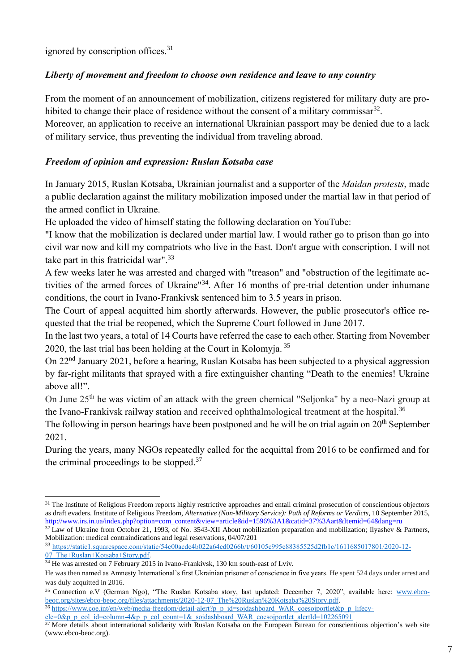ignored by conscription offices.<sup>31</sup>

# *Liberty of movement and freedom to choose own residence and leave to any country*

From the moment of an announcement of mobilization, citizens registered for military duty are prohibited to change their place of residence without the consent of a military commissar $^{32}$ .

Moreover, an application to receive an international Ukrainian passport may be denied due to a lack of military service, thus preventing the individual from traveling abroad.

# *Freedom of opinion and expression: Ruslan Kotsaba case*

In January 2015, Ruslan Kotsaba, Ukrainian journalist and a supporter of the *Maidan protests*, made a public declaration against the military mobilization imposed under the martial law in that period of the armed conflict in Ukraine.

He uploaded the video of himself stating the following declaration on YouTube:

"I know that the mobilization is declared under martial law. I would rather go to prison than go into civil war now and kill my compatriots who live in the East. Don't argue with conscription. I will not take part in this fratricidal war".<sup>33</sup>

A few weeks later he was arrested and charged with "treason" and "obstruction of the legitimate activities of the armed forces of Ukraine"<sup>34</sup>. After 16 months of pre-trial detention under inhumane conditions, the court in Ivano-Frankivsk sentenced him to 3.5 years in prison.

The Court of appeal acquitted him shortly afterwards. However, the public prosecutor's office requested that the trial be reopened, which the Supreme Court followed in June 2017.

In the last two years, a total of 14 Courts have referred the case to each other. Starting from November 2020, the last trial has been holding at the Court in Kolomvia.<sup>35</sup>

On 22nd January 2021, before a hearing, Ruslan Kotsaba has been subjected to a physical aggression by far-right militants that sprayed with a fire extinguisher chanting "Death to the enemies! Ukraine above all!".

On June 25th he was victim of an attack with the green chemical "Seljonka" by a neo-Nazi group at the Ivano-Frankivsk railway station and received ophthalmological treatment at the hospital.<sup>36</sup>

The following in person hearings have been postponed and he will be on trial again on 20<sup>th</sup> September 2021.

During the years, many NGOs repeatedly called for the acquittal from 2016 to be confirmed and for the criminal proceedings to be stopped. $37$ 

<sup>32</sup> Law of Ukraine from October 21, 1993, of No. 3543-XII About mobilization preparation and mobilization; Ilyashev & Partners, Mobilization: medical contraindications and legal reservations, 04/07/201

<sup>&</sup>lt;sup>31</sup> The Institute of Religious Freedom reports highly restrictive approaches and entail criminal prosecution of conscientious objectors as draft evaders. Institute of Religious Freedom, *Alternative (Non-Military Service): Path of Reforms or Verdicts*, 10 September 2015, http://www.irs.in.ua/index.php?option=com\_content&view=article&id=1596%3A1&catid=37%3Aart&Itemid=64&lang=ru

<sup>33</sup> [https://static1.squarespace.com/static/54c00acde4b022a64cd0266b/t/60105c995e88385525d2fb1c/1611685017801/2020-12-](https://static1.squarespace.com/static/54c00acde4b022a64cd0266b/t/60105c995e88385525d2fb1c/1611685017801/2020-12-07_The+Ruslan+Kotsaba+Story.pdf) [07\\_The+Ruslan+Kotsaba+Story.pdf.](https://static1.squarespace.com/static/54c00acde4b022a64cd0266b/t/60105c995e88385525d2fb1c/1611685017801/2020-12-07_The+Ruslan+Kotsaba+Story.pdf)

 $34$  He was arrested on 7 February 2015 in Ivano-Frankivsk, 130 km south-east of Lviv.

He was then named as Amnesty International's first Ukrainian prisoner of conscience in five years. He spent 524 days under arrest and was duly acquitted in 2016.

<sup>&</sup>lt;sup>35</sup> Connection e.V (German Ngo), "The Ruslan Kotsaba story, last updated: December 7, 2020", available here: [www.ebco](http://www.ebco-beoc.org/sites/ebco-beoc.org/files/attachments/2020-12-07_The%20Ruslan%20Kotsaba%20Story.pdf)[beoc.org/sites/ebco-beoc.org/files/attachments/2020-12-07\\_The%20Ruslan%20Kotsaba%20Story.pdf.](http://www.ebco-beoc.org/sites/ebco-beoc.org/files/attachments/2020-12-07_The%20Ruslan%20Kotsaba%20Story.pdf)

<sup>36</sup> [https://www.coe.int/en/web/media-freedom/detail-alert?p\\_p\\_id=sojdashboard\\_WAR\\_coesojportlet&p\\_p\\_lifecy-](https://www.coe.int/en/web/media-freedom/detail-alert?p_p_id=sojdashboard_WAR_coesojportlet&p_p_lifecycle=0&p_p_col_id=column-4&p_p_col_count=1&_sojdashboard_WAR_coesojportlet_alertId=102265091)

[cle=0&p\\_p\\_col\\_id=column-4&p\\_p\\_col\\_count=1&\\_sojdashboard\\_WAR\\_coesojportlet\\_alertId=102265091](https://www.coe.int/en/web/media-freedom/detail-alert?p_p_id=sojdashboard_WAR_coesojportlet&p_p_lifecycle=0&p_p_col_id=column-4&p_p_col_count=1&_sojdashboard_WAR_coesojportlet_alertId=102265091)

<sup>&</sup>lt;sup>37</sup> More details about international solidarity with Ruslan Kotsaba on the European Bureau for conscientious objection's web site (www.ebco-beoc.org).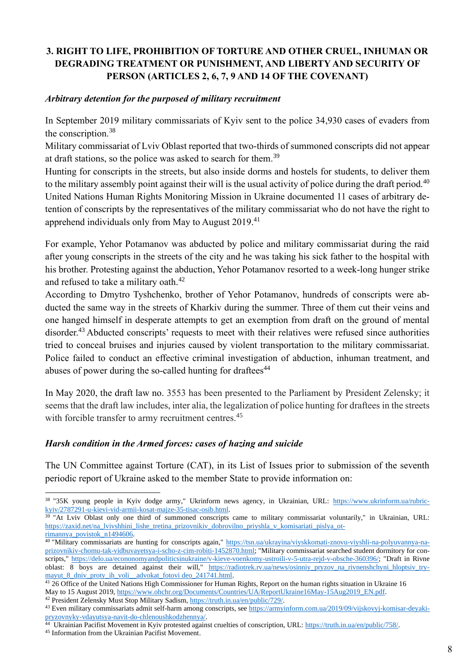# **3. RIGHT TO LIFE, PROHIBITION OF TORTURE AND OTHER CRUEL, INHUMAN OR DEGRADING TREATMENT OR PUNISHMENT, AND LIBERTY AND SECURITY OF PERSON (ARTICLES 2, 6, 7, 9 AND 14 OF THE COVENANT)**

#### *Arbitrary detention for the purposed of military recruitment*

In September 2019 military commissariats of Kyiv sent to the police 34,930 cases of evaders from the conscription. 38

Military commissariat of Lviv Oblast reported that two-thirds of summoned conscripts did not appear at draft stations, so the police was asked to search for them.<sup>39</sup>

Hunting for conscripts in the streets, but also inside dorms and hostels for students, to deliver them to the military assembly point against their will is the usual activity of police during the draft period.<sup>40</sup> United Nations Human Rights Monitoring Mission in Ukraine documented 11 cases of arbitrary detention of conscripts by the representatives of the military commissariat who do not have the right to apprehend individuals only from May to August 2019.<sup>41</sup>

For example, Yehor Potamanov was abducted by police and military commissariat during the raid after young conscripts in the streets of the city and he was taking his sick father to the hospital with his brother. Protesting against the abduction, Yehor Potamanov resorted to a week-long hunger strike and refused to take a military oath.<sup>42</sup>

According to Dmytro Tyshchenko, brother of Yehor Potamanov, hundreds of conscripts were abducted the same way in the streets of Kharkiv during the summer. Three of them cut their veins and one hanged himself in desperate attempts to get an exemption from draft on the ground of mental disorder.<sup>43</sup> Abducted conscripts' requests to meet with their relatives were refused since authorities tried to conceal bruises and injuries caused by violent transportation to the military commissariat. Police failed to conduct an effective criminal investigation of abduction, inhuman treatment, and abuses of power during the so-called hunting for draftees $44$ 

In May 2020, the draft law no. 3553 has been presented to the Parliament by President Zelensky; it seems that the draft law includes, inter alia, the legalization of police hunting for draftees in the streets with forcible transfer to army recruitment centres.<sup>45</sup>

#### *Harsh condition in the Armed forces: cases of hazing and suicide*

The UN Committee against Torture (CAT), in its List of Issues prior to submission of the seventh periodic report of Ukraine asked to the member State to provide information on:

<sup>38 &</sup>quot;35K young people in Kyiv dodge army," Ukrinform news agency, in Ukrainian, URL: [https://www.ukrinform.ua/rubric](https://www.ukrinform.ua/rubric-kyiv/2787291-u-kievi-vid-armii-kosat-majze-35-tisac-osib.html)[kyiv/2787291-u-kievi-vid-armii-kosat-majze-35-tisac-osib.html.](https://www.ukrinform.ua/rubric-kyiv/2787291-u-kievi-vid-armii-kosat-majze-35-tisac-osib.html)

<sup>&</sup>lt;sup>39</sup> "At Lviv Oblast only one third of summoned conscripts came to military commissariat voluntarily," in Ukrainian, URL: [https://zaxid.net/na\\_lvivshhini\\_lishe\\_tretina\\_prizovnikiv\\_dobrovilno\\_priyshla\\_v\\_komisariati\\_pislya\\_ot](https://zaxid.net/na_lvivshhini_lishe_tretina_prizovnikiv_dobrovilno_priyshla_v_komisariati_pislya_otrimannya_povistok_n1494606)[rimannya\\_povistok\\_n1494606.](https://zaxid.net/na_lvivshhini_lishe_tretina_prizovnikiv_dobrovilno_priyshla_v_komisariati_pislya_otrimannya_povistok_n1494606)

<sup>40</sup> "Military commissariats are hunting for conscripts again," [https://tsn.ua/ukrayina/viyskkomati-znovu-viyshli-na-polyuvannya-na](https://tsn.ua/ukrayina/viyskkomati-znovu-viyshli-na-polyuvannya-na-prizovnikiv-chomu-tak-vidbuvayetsya-i-scho-z-cim-robiti-1452870.html)[prizovnikiv-chomu-tak-vidbuvayetsya-i-scho-z-cim-robiti-1452870.html;](https://tsn.ua/ukrayina/viyskkomati-znovu-viyshli-na-polyuvannya-na-prizovnikiv-chomu-tak-vidbuvayetsya-i-scho-z-cim-robiti-1452870.html) "Military commissariat searched student dormitory for conscripts," [https://delo.ua/econonomyandpoliticsinukraine/v-kieve-voenkomy-ustroili-v-5-utra-rejd-v-obsche-360396/;](https://delo.ua/econonomyandpoliticsinukraine/v-kieve-voenkomy-ustroili-v-5-utra-rejd-v-obsche-360396/) "Draft in Rivne oblast: 8 boys are detained against their will," [https://radiotrek.rv.ua/news/osinniy\\_pryzov\\_na\\_rivnenshchyni\\_hloptsiv\\_try](https://radiotrek.rv.ua/news/osinniy_pryzov_na_rivnenshchyni_hloptsiv_trymayut_8_dniv_proty_ih_voli__advokat_fotovi%20deo_241741.html)mayut 8 dniv proty ih voli\_advokat\_fotovi deo\_241741.html.

<sup>&</sup>lt;sup>41</sup> 26 Office of the United Nations High Commissioner for Human Rights, Report on the human rights situation in Ukraine 16 May to 15 August 2019[, https://www.ohchr.org/Documents/Countries/UA/ReportUkraine16May-15Aug2019\\_EN.pdf.](https://www.ohchr.org/Documents/Countries/UA/ReportUkraine16May-15Aug2019_EN.pdf)

<sup>42</sup> President Zelensky Must Stop Military Sadism, [https://truth.in.ua/en/public/729/.](https://truth.in.ua/en/public/729/)

<sup>43</sup> Even military commissariats admit self-harm among conscripts, see [https://armyinform.com.ua/2019/09/vijskovyj-komisar-deyaki](https://armyinform.com.ua/2019/09/vijskovyj-komisar-deyaki-pryzovnyky-vdayutsya-navit-do-chlenoushkodzhennya/)[pryzovnyky-vdayutsya-navit-do-chlenoushkodzhennya/.](https://armyinform.com.ua/2019/09/vijskovyj-komisar-deyaki-pryzovnyky-vdayutsya-navit-do-chlenoushkodzhennya/)

<sup>&</sup>lt;sup>44</sup> Ukrainian Pacifist Movement in Kyiv protested against cruelties of conscription, URL[: https://truth.in.ua/en/public/758/.](https://truth.in.ua/en/public/758/)

<sup>45</sup> Information from the Ukrainian Pacifist Movement.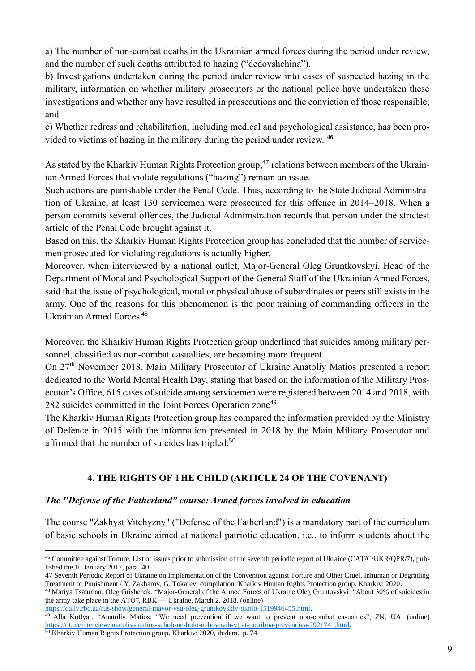a) The number of non-combat deaths in the Ukrainian armed forces during the period under review, and the number of such deaths attributed to hazing ("dedovshchina").

b) Investigations undertaken during the period under review into cases of suspected hazing in the military, information on whether military prosecutors or the national police have undertaken these investigations and whether any have resulted in prosecutions and the conviction of those responsible; and

c) Whether redress and rehabilitation, including medical and psychological assistance, has been provided to victims of hazing in the military during the period under review. **<sup>46</sup>**

As stated by the Kharkiv Human Rights Protection group,<sup>47</sup> relations between members of the Ukrainian Armed Forces that violate regulations ("hazing") remain an issue.

Such actions are punishable under the Penal Code. Thus, according to the State Judicial Administration of Ukraine, at least 130 servicemen were prosecuted for this offence in 2014–2018. When a person commits several offences, the Judicial Administration records that person under the strictest article of the Penal Code brought against it.

Based on this, the Kharkiv Human Rights Protection group has concluded that the number of servicemen prosecuted for violating regulations is actually higher.

Moreover, when interviewed by a national outlet, Major-General Oleg Gruntkovskyi, Head of the Department of Moral and Psychological Support of the General Staff of the Ukrainian Armed Forces, said that the issue of psychological, moral or physical abuse of subordinates or peers still exists in the army. One of the reasons for this phenomenon is the poor training of commanding officers in the Ukrainian Armed Forces <sup>48</sup>

Moreover, the Kharkiv Human Rights Protection group underlined that suicides among military personnel, classified as non-combat casualties, are becoming more frequent.

On 27th November 2018, Main Military Prosecutor of Ukraine Anatoliy Matios presented a report dedicated to the World Mental Health Day, stating that based on the information of the Military Prosecutor's Office, 615 cases of suicide among servicemen were registered between 2014 and 2018, with 282 suicides committed in the Joint Forces Operation zone<sup>49</sup>

The Kharkiv Human Rights Protection group has compared the information provided by the Ministry of Defence in 2015 with the information presented in 2018 by the Main Military Prosecutor and affirmed that the number of suicides has tripled.<sup>50</sup>

# **4. THE RIGHTS OF THE CHILD (ARTICLE 24 OF THE COVENANT)**

# *The "Defense of the Fatherland" course: Armed forces involved in education*

The course "Zakhyst Vitchyzny" ("Defense of the Fatherland") is a mandatory part of the curriculum of basic schools in Ukraine aimed at national patriotic education, i.e., to inform students about the

[https://daily.rbc.ua/rus/show/general-mayor-vsu-oleg-gruntkovskiy-okolo-1519946455.html.](https://daily.rbc.ua/rus/show/general-mayor-vsu-oleg-gruntkovskiy-okolo-1519946455.html)

<sup>46</sup> Committee against Torture, List of issues prior to submission of the seventh periodic report of Ukraine (CAT/C/UKR/QPR/7), published the 10 January 2017, para. 40.

<sup>47</sup> Seventh Periodic Report of Ukraine on Implementation of the Convention against Torture and Other Cruel, Inhuman or Degrading Treatment or Punishment / Y. Zakharov, G. Tokarev: compilation; Kharkiv Human Rights Protection group. Kharkiv: 2020.

<sup>48</sup> Mariya Tsaturian, Oleg Grishchak, "Major-General of the Armed Forces of Ukraine Oleg Gruntovskyi: "About 30% of suicides in the army take place in the ATO", RBK — Ukraine, March 2, 2018, (online)

<sup>&</sup>lt;sup>49</sup> Alla Kotlyar, "Anatoliy Matios: "We need prevention if we want to prevent non-combat casualties", ZN, UA, (online) [https://dt.ua/interview/anatoliy-matios-schob-ne-bulo-neboyovih-vtrat-potribna-prevenciya-292174\\_.html.](https://dt.ua/interview/anatoliy-matios-schob-ne-bulo-neboyovih-vtrat-potribna-prevenciya-292174_.html)

<sup>50</sup> Kharkiv Human Rights Protection group. Kharkiv: 2020, ibidem., p. 74.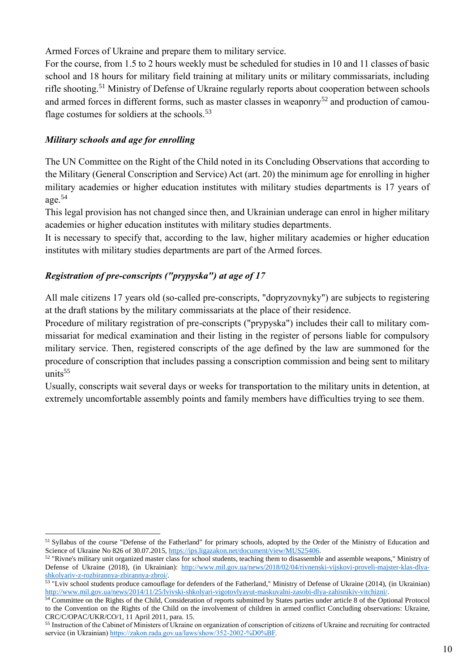Armed Forces of Ukraine and prepare them to military service.

For the course, from 1.5 to 2 hours weekly must be scheduled for studies in 10 and 11 classes of basic school and 18 hours for military field training at military units or military commissariats, including rifle shooting.<sup>51</sup> Ministry of Defense of Ukraine regularly reports about cooperation between schools and armed forces in different forms, such as master classes in weaponry $52$  and production of camouflage costumes for soldiers at the schools.<sup>53</sup>

# *Military schools and age for enrolling*

The UN Committee on the Right of the Child noted in its Concluding Observations that according to the Military (General Conscription and Service) Act (art. 20) the minimum age for enrolling in higher military academies or higher education institutes with military studies departments is 17 years of age.<sup>54</sup>

This legal provision has not changed since then, and Ukrainian underage can enrol in higher military academies or higher education institutes with military studies departments.

It is necessary to specify that, according to the law, higher military academies or higher education institutes with military studies departments are part of the Armed forces.

# *Registration of pre-conscripts ("prypyska") at age of 17*

All male citizens 17 years old (so-called pre-conscripts, "dopryzovnyky") are subjects to registering at the draft stations by the military commissariats at the place of their residence.

Procedure of military registration of pre-conscripts ("prypyska") includes their call to military commissariat for medical examination and their listing in the register of persons liable for compulsory military service. Then, registered conscripts of the age defined by the law are summoned for the procedure of conscription that includes passing a conscription commission and being sent to military units $55$ 

Usually, conscripts wait several days or weeks for transportation to the military units in detention, at extremely uncomfortable assembly points and family members have difficulties trying to see them.

<sup>51</sup> Syllabus of the course "Defense of the Fatherland" for primary schools, adopted by the Order of the Ministry of Education and Science of Ukraine No 826 of 30.07.2015[, https://ips.ligazakon.net/document/view/MUS25406.](https://ips.ligazakon.net/document/view/MUS25406)

 $52$  "Rivne's military unit organized master class for school students, teaching them to disassemble and assemble weapons," Ministry of Defense of Ukraine (2018), (in Ukrainian): [http://www.mil.gov.ua/news/2018/02/04/rivnenski-vijskovi-proveli-majster-klas-dlya](http://www.mil.gov.ua/news/2018/02/04/rivnenski-vijskovi-proveli-majster-klas-dlya-shkolyariv-z-rozbirannya-zbirannya-zbroi/)[shkolyariv-z-rozbirannya-zbirannya-zbroi/.](http://www.mil.gov.ua/news/2018/02/04/rivnenski-vijskovi-proveli-majster-klas-dlya-shkolyariv-z-rozbirannya-zbirannya-zbroi/)

<sup>&</sup>lt;sup>53</sup> "Lviv school students produce camouflage for defenders of the Fatherland," Ministry of Defense of Ukraine (2014), (in Ukrainian) [http://www.mil.gov.ua/news/2014/11/25/lvivski-shkolyari-vigotovlyayut-maskuvalni-zasobi-dlya-zahisnikiv-vitchizni/.](http://www.mil.gov.ua/news/2014/11/25/lvivski-shkolyari-vigotovlyayut-maskuvalni-zasobi-dlya-zahisnikiv-vitchizni/)

<sup>54</sup> Committee on the Rights of the Child, Consideration of reports submitted by States parties under article 8 of the Optional Protocol to the Convention on the Rights of the Child on the involvement of children in armed conflict Concluding observations: Ukraine, CRC/C/OPAC/UKR/CO/1, 11 April 2011, para. 15.

<sup>55</sup> Instruction of the Cabinet of Ministers of Ukraine on organization of conscription of citizens of Ukraine and recruiting for contracted service (in Ukrainian) [https://zakon.rada.gov.ua/laws/show/352-2002-%D0%BF.](https://zakon.rada.gov.ua/laws/show/352-2002-%D0%BF)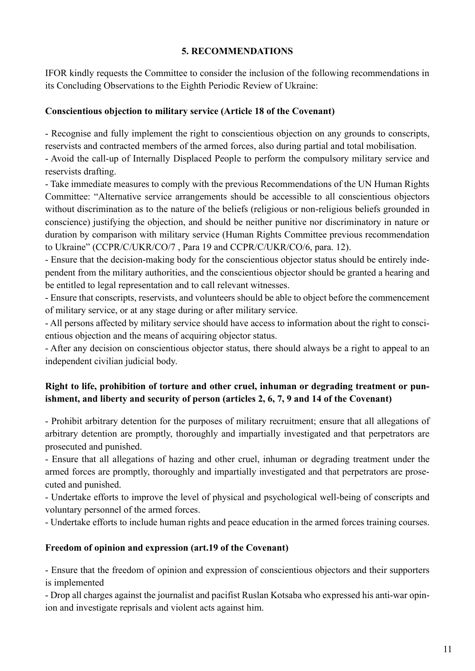#### **5. RECOMMENDATIONS**

IFOR kindly requests the Committee to consider the inclusion of the following recommendations in its Concluding Observations to the Eighth Periodic Review of Ukraine:

#### **Conscientious objection to military service (Article 18 of the Covenant)**

- Recognise and fully implement the right to conscientious objection on any grounds to conscripts, reservists and contracted members of the armed forces, also during partial and total mobilisation.

- Avoid the call-up of Internally Displaced People to perform the compulsory military service and reservists drafting.

- Take immediate measures to comply with the previous Recommendations of the UN Human Rights Committee: "Alternative service arrangements should be accessible to all conscientious objectors without discrimination as to the nature of the beliefs (religious or non-religious beliefs grounded in conscience) justifying the objection, and should be neither punitive nor discriminatory in nature or duration by comparison with military service (Human Rights Committee previous recommendation to Ukraine" (CCPR/C/UKR/CO/7 , Para 19 and CCPR/C/UKR/CO/6, para. 12).

- Ensure that the decision-making body for the conscientious objector status should be entirely independent from the military authorities, and the conscientious objector should be granted a hearing and be entitled to legal representation and to call relevant witnesses.

- Ensure that conscripts, reservists, and volunteers should be able to object before the commencement of military service, or at any stage during or after military service.

- All persons affected by military service should have access to information about the right to conscientious objection and the means of acquiring objector status.

- After any decision on conscientious objector status, there should always be a right to appeal to an independent civilian judicial body.

# **Right to life, prohibition of torture and other cruel, inhuman or degrading treatment or punishment, and liberty and security of person (articles 2, 6, 7, 9 and 14 of the Covenant)**

- Prohibit arbitrary detention for the purposes of military recruitment; ensure that all allegations of arbitrary detention are promptly, thoroughly and impartially investigated and that perpetrators are prosecuted and punished.

- Ensure that all allegations of hazing and other cruel, inhuman or degrading treatment under the armed forces are promptly, thoroughly and impartially investigated and that perpetrators are prosecuted and punished.

- Undertake efforts to improve the level of physical and psychological well-being of conscripts and voluntary personnel of the armed forces.

- Undertake efforts to include human rights and peace education in the armed forces training courses.

# **Freedom of opinion and expression (art.19 of the Covenant)**

- Ensure that the freedom of opinion and expression of conscientious objectors and their supporters is implemented

- Drop all charges against the journalist and pacifist Ruslan Kotsaba who expressed his anti-war opinion and investigate reprisals and violent acts against him.